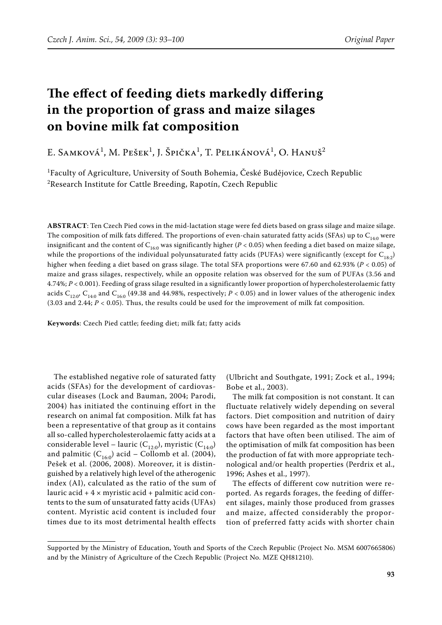# **The effect of feeding diets markedly differing in the proportion of grass and maize silages on bovine milk fat composition**

E. Samková<sup>1</sup>, M. Pešek<sup>1</sup>, J. Špička<sup>1</sup>, T. Pelikánová<sup>1</sup>, O. Hanuš<sup>2</sup>

<sup>1</sup>Faculty of Agriculture, University of South Bohemia, České Budějovice, Czech Republic  $^{2}$ Research Institute for Cattle Breeding, Rapotín, Czech Republic

**ABSTRACT**: Ten Czech Pied cows in the mid-lactation stage were fed diets based on grass silage and maize silage. The composition of milk fats differed. The proportions of even-chain saturated fatty acids (SFAs) up to  $C_{140}$  were insignificant and the content of  $C_{16:0}$  was significantly higher ( $P < 0.05$ ) when feeding a diet based on maize silage, while the proportions of the individual polyunsaturated fatty acids (PUFAs) were significantly (except for  $C_{18:2}$ ) higher when feeding a diet based on grass silage. The total SFA proportions were 67.60 and 62.93% (*P* < 0.05) of maize and grass silages, respectively, while an opposite relation was observed for the sum of PUFAs (3.56 and 4.74%; *P* < 0.001). Feeding of grass silage resulted in a significantly lower proportion of hypercholesterolaemic fatty acids C<sub>12:0</sub>, C<sub>14:0</sub> and C<sub>16:0</sub> (49.38 and 44.98%, respectively; *P* < 0.05) and in lower values of the atherogenic index (3.03 and 2.44; *P* < 0.05). Thus, the results could be used for the improvement of milk fat composition.

**Keywords**: Czech Pied cattle; feeding diet; milk fat; fatty acids

The established negative role of saturated fatty acids (SFAs) for the development of cardiovascular diseases (Lock and Bauman, 2004; Parodi, 2004) has initiated the continuing effort in the research on animal fat composition. Milk fat has been a representative of that group as it contains all so-called hypercholesterolaemic fatty acids at a considerable level – lauric  $(C_{12:0})$ , myristic  $(C_{14:0})$ and palmitic  $(C_{16:0})$  acid – Collomb et al. (2004), Pešek et al. (2006, 2008). Moreover, it is distinguished by a relatively high level of the atherogenic index (AI), calculated as the ratio of the sum of lauric acid  $+ 4 \times$  myristic acid  $+$  palmitic acid contents to the sum of unsaturated fatty acids (UFAs) content. Myristic acid content is included four times due to its most detrimental health effects (Ulbricht and Southgate, 1991; Zock et al., 1994; Bobe et al., 2003).

The milk fat composition is not constant. It can fluctuate relatively widely depending on several factors. Diet composition and nutrition of dairy cows have been regarded as the most important factors that have often been utilised. The aim of the optimisation of milk fat composition has been the production of fat with more appropriate technological and/or health properties (Perdrix et al., 1996; Ashes et al., 1997).

The effects of different cow nutrition were reported. As regards forages, the feeding of different silages, mainly those produced from grasses and maize, affected considerably the proportion of preferred fatty acids with shorter chain

Supported by the Ministry of Education, Youth and Sports of the Czech Republic (Project No. MSM 6007665806) and by the Ministry of Agriculture of the Czech Republic (Project No. MZe QH81210).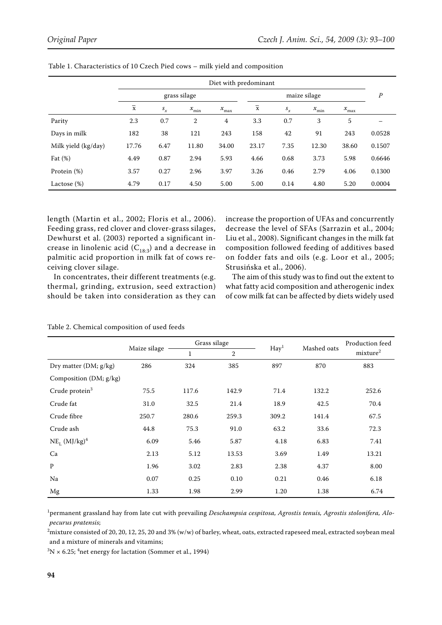|                     | Diet with predominant |         |                                         |               |                |         |                                         |                  |        |
|---------------------|-----------------------|---------|-----------------------------------------|---------------|----------------|---------|-----------------------------------------|------------------|--------|
|                     | grass silage          |         |                                         |               | maize silage   |         |                                         |                  | Ρ      |
|                     | $\overline{x}$        | $s_{x}$ | $\boldsymbol{\mathcal{X}}_{\text{min}}$ | $x_{\rm max}$ | $\overline{x}$ | $S_{x}$ | $\boldsymbol{\mathcal{X}}_{\text{min}}$ | $x_{\text{max}}$ |        |
| Parity              | 2.3                   | 0.7     | 2                                       | 4             | 3.3            | 0.7     | 3                                       | 5                |        |
| Days in milk        | 182                   | 38      | 121                                     | 243           | 158            | 42      | 91                                      | 243              | 0.0528 |
| Milk yield (kg/day) | 17.76                 | 6.47    | 11.80                                   | 34.00         | 23.17          | 7.35    | 12.30                                   | 38.60            | 0.1507 |
| Fat $(\%)$          | 4.49                  | 0.87    | 2.94                                    | 5.93          | 4.66           | 0.68    | 3.73                                    | 5.98             | 0.6646 |
| Protein (%)         | 3.57                  | 0.27    | 2.96                                    | 3.97          | 3.26           | 0.46    | 2.79                                    | 4.06             | 0.1300 |
| Lactose (%)         | 4.79                  | 0.17    | 4.50                                    | 5.00          | 5.00           | 0.14    | 4.80                                    | 5.20             | 0.0004 |

Table 1. Characteristics of 10 Czech Pied cows – milk yield and composition

length (Martin et al., 2002; Floris et al., 2006). Feeding grass, red clover and clover-grass silages, Dewhurst et al. (2003) reported a significant increase in linolenic acid  $(C_{18:3})$  and a decrease in palmitic acid proportion in milk fat of cows receiving clover silage.

In concentrates, their different treatments (e.g. thermal, grinding, extrusion, seed extraction) should be taken into consideration as they can increase the proportion of UFAs and concurrently decrease the level of SFAs (Sarrazin et al., 2004; Liu et al., 2008). Significant changes in the milk fat composition followed feeding of additives based on fodder fats and oils (e.g. Loor et al., 2005; Strusińska et al., 2006).

The aim of this study was to find out the extent to what fatty acid composition and atherogenic index of cow milk fat can be affected by diets widely used

### Table 2. Chemical composition of used feeds

|                               |              | Grass silage |              | $\text{Hay}^1$ | Mashed oats | Production feed<br>mixture <sup>2</sup> |  |
|-------------------------------|--------------|--------------|--------------|----------------|-------------|-----------------------------------------|--|
|                               | Maize silage | 1            | $\mathbf{2}$ |                |             |                                         |  |
| Dry matter (DM; g/kg)         | 286          | 324          | 385          | 897            | 870         | 883                                     |  |
| Composition (DM; g/kg)        |              |              |              |                |             |                                         |  |
| Crude protein $3$             | 75.5         | 117.6        | 142.9        | 71.4           | 132.2       | 252.6                                   |  |
| Crude fat                     | 31.0         | 32.5         | 21.4         | 18.9           | 42.5        | 70.4                                    |  |
| Crude fibre                   | 250.7        | 280.6        | 259.3        | 309.2          | 141.4       | 67.5                                    |  |
| Crude ash                     | 44.8         | 75.3         | 91.0         | 63.2           | 33.6        | 72.3                                    |  |
| $NE_{L}$ (MJ/kg) <sup>4</sup> | 6.09         | 5.46         | 5.87         | 4.18           | 6.83        | 7.41                                    |  |
| Ca                            | 2.13         | 5.12         | 13.53        | 3.69           | 1.49        | 13.21                                   |  |
| $\mathbf{p}$                  | 1.96         | 3.02         | 2.83         | 2.38           | 4.37        | 8.00                                    |  |
| Na                            | 0.07         | 0.25         | 0.10         | 0.21           | 0.46        | 6.18                                    |  |
| Mg                            | 1.33         | 1.98         | 2.99         | 1.20           | 1.38        | 6.74                                    |  |

1 permanent grassland hay from late cut with prevailing *Deschampsia cespitosa, Agrostis tenuis, Agrostis stolonifera, Alopecurus pratensis*;

 $^2$ mixture consisted of 20, 20, 12, 25, 20 and 3% (w/w) of barley, wheat, oats, extracted rapeseed meal, extracted soybean meal and a mixture of minerals and vitamins;

 ${}^{3}\text{N} \times 6.25$ ; <sup>4</sup>net energy for lactation (Sommer et al., 1994)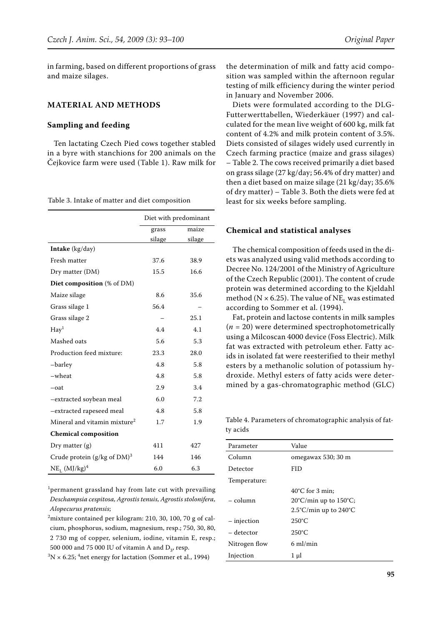in farming, based on different proportions of grass and maize silages.

#### **MATERIAL AND METHODS**

#### **Sampling and feeding**

Ten lactating Czech Pied cows together stabled in a byre with stanchions for 200 animals on the Čejkovice farm were used (Table 1). Raw milk for

Table 3. Intake of matter and diet composition

|                                          | Diet with predominant |        |  |
|------------------------------------------|-----------------------|--------|--|
|                                          | grass                 | maize  |  |
|                                          | silage                | silage |  |
| Intake (kg/day)                          |                       |        |  |
| Fresh matter                             | 37.6                  | 38.9   |  |
| Dry matter (DM)                          | 15.5                  | 16.6   |  |
| <b>Diet composition</b> (% of DM)        |                       |        |  |
| Maize silage                             | 8.6                   | 35.6   |  |
| Grass silage 1                           | 56.4                  |        |  |
| Grass silage 2                           |                       | 25.1   |  |
| $\text{Hay}^1$                           | 4.4                   | 4.1    |  |
| Mashed oats                              | 5.6                   | 5.3    |  |
| Production feed mixture:                 | 23.3                  | 28.0   |  |
| -barley                                  | 4.8                   | 5.8    |  |
| -wheat                                   | 4.8                   | 5.8    |  |
| $-$ oat                                  | 2.9                   | 3.4    |  |
| -extracted soybean meal                  | 6.0                   | 7.2    |  |
| -extracted rapeseed meal                 | 4.8                   | 5.8    |  |
| Mineral and vitamin mixture <sup>2</sup> | 1.7                   | 1.9    |  |
| <b>Chemical composition</b>              |                       |        |  |
| Dry matter $(g)$                         | 411                   | 427    |  |
| Crude protein $(g/kg \text{ of } DM)^3$  | 144                   | 146    |  |
| $NE_{L}$ (MJ/kg) <sup>4</sup>            | 6.0                   | 6.3    |  |

1 permanent grassland hay from late cut with prevailing *Deschampsia cespitosa, Agrostis tenuis, Agrostis stolonifera, Alopecurus pratensis*;

 $^2$ mixture contained per kilogram: 210, 30, 100, 70 g of calcium, phosphorus, sodium, magnesium, resp.; 750, 30, 80, 2 730 mg of copper, selenium, iodine, vitamin E, resp.; 500 000 and 75 000 IU of vitamin A and  $D_3$ , resp.

 $3N \times 6.25$ ; <sup>4</sup>net energy for lactation (Sommer et al., 1994)

the determination of milk and fatty acid composition was sampled within the afternoon regular testing of milk efficiency during the winter period in January and November 2006.

Diets were formulated according to the DLG-Futterwerttabellen, Wiederkäuer (1997) and calculated for the mean live weight of 600 kg, milk fat content of 4.2% and milk protein content of 3.5%. Diets consisted of silages widely used currently in Czech farming practice (maize and grass silages) – Table 2. The cows received primarily a diet based on grass silage (27 kg/day; 56.4% of dry matter) and then a diet based on maize silage (21 kg/day; 35.6% of dry matter) – Table 3. Both the diets were fed at least for six weeks before sampling.

#### **Chemical and statistical analyses**

The chemical composition of feeds used in the diets was analyzed using valid methods according to Decree No. 124/2001 of the Ministry of Agriculture of the Czech Republic (2001). The content of crude protein was determined according to the Kjeldahl method (N  $\times$  6.25). The value of NE<sub>L</sub> was estimated according to Sommer et al. (1994).

Fat, protein and lactose contents in milk samples  $(n = 20)$  were determined spectrophotometrically using a Milcoscan 4000 device (Foss Electric). Milk fat was extracted with petroleum ether. Fatty acids in isolated fat were reesterified to their methyl esters by a methanolic solution of potassium hydroxide. Methyl esters of fatty acids were determined by a gas-chromatographic method (GLC)

Table 4. Parameters of chromatographic analysis of fatty acids

| Parameter     | Value                                     |
|---------------|-------------------------------------------|
| Column        | omegawax 530; 30 m                        |
| Detector      | <b>FID</b>                                |
| Temperature:  |                                           |
|               | $40^{\circ}$ C for 3 min;                 |
| - column      | 20°C/min up to 150°C;                     |
|               | $2.5^{\circ}$ C/min up to $240^{\circ}$ C |
| $-$ injection | $250^{\circ}$ C                           |
| – detector    | $250^{\circ}$ C                           |
| Nitrogen flow | $6 \text{ ml/min}$                        |
| Injection     | 1 µl                                      |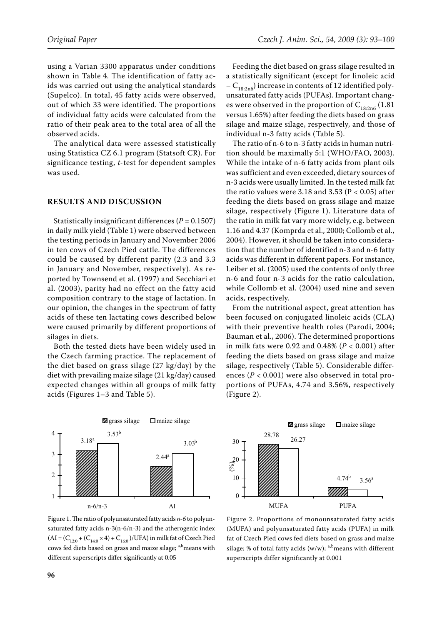using a Varian 3300 apparatus under conditions shown in Table 4. The identification of fatty acids was carried out using the analytical standards (Supelco). In total, 45 fatty acids were observed, out of which 33 were identified. The proportions of individual fatty acids were calculated from the ratio of their peak area to the total area of all the observed acids.

The analytical data were assessed statistically using Statistica CZ 6.1 program (Statsoft CR). For significance testing, *t*-test for dependent samples was used.

#### **RESULTS AND DISCUSSION**

Statistically insignificant differences (*P* = 0.1507) in daily milk yield (Table 1) were observed between the testing periods in January and November 2006 in ten cows of Czech Pied cattle. The differences could be caused by different parity (2.3 and 3.3 in January and November, respectively). As reported by Townsend et al. (1997) and Secchiari et al. (2003), parity had no effect on the fatty acid composition contrary to the stage of lactation. In our opinion, the changes in the spectrum of fatty acids of these ten lactating cows described below were caused primarily by different proportions of silages in diets.

Both the tested diets have been widely used in the Czech farming practice. The replacement of the diet based on grass silage (27 kg/day) by the diet with prevailing maize silage (21 kg/day) caused expected changes within all groups of milk fatty acids (Figures 1–3 and Table 5).

Feeding the diet based on grass silage resulted in a statistically significant (except for linoleic acid  $-C_{18:2n6}$ ) increase in contents of 12 identified polyunsaturated fatty acids (PUFAs). Important changes were observed in the proportion of  $C_{18:2n6}$  (1.81) versus 1.65%) after feeding the diets based on grass silage and maize silage, respectively, and those of individual n-3 fatty acids (Table 5).

The ratio of n-6 to n-3 fatty acids in human nutrition should be maximally 5:1 (WHO/FAO, 2003). While the intake of n-6 fatty acids from plant oils was sufficient and even exceeded, dietary sources of n-3 acids were usually limited. In the tested milk fat the ratio values were  $3.18$  and  $3.53$  (P < 0.05) after feeding the diets based on grass silage and maize silage, respectively (Figure 1). Literature data of the ratio in milk fat vary more widely, e.g. between 1.16 and 4.37 (Komprda et al., 2000; Collomb et al., 2004). However, it should be taken into consideration that the number of identified n-3 and n-6 fatty acids was different in different papers. For instance, Leiber et al. (2005) used the contents of only three n-6 and four n-3 acids for the ratio calculation, while Collomb et al. (2004) used nine and seven acids, respectively.

From the nutritional aspect, great attention has been focused on conjugated linoleic acids (CLA) with their preventive health roles (Parodi, 2004; Bauman et al., 2006). The determined proportions in milk fats were 0.92 and 0.48% (*P* < 0.001) after feeding the diets based on grass silage and maize silage, respectively (Table 5). Considerable differences (*P* < 0.001) were also observed in total proportions of PUFAs, 4.74 and 3.56%, respectively (Figure 2).



Figure 1. The ratio of polyunsaturated fatty acids *n-6* to polyunsaturated fatty acids n*-*3(n-6/n-3) and the atherogenic index  $(AI = (C_{12:0} + (C_{14:0} \times 4) + C_{16:0})/UFA)$  in milk fat of Czech Pied cows fed diets based on grass and maize silage; a,bmeans with different superscripts differ significantly at 0.05



Figure 2. Proportions of monounsaturated fatty acids (MUFA) and polyunsaturated fatty acids (PUFA) in milk fat of Czech Pied cows fed diets based on grass and maize silage; % of total fatty acids (w/w);  $a,b$  means with different superscripts differ significantly at 0.001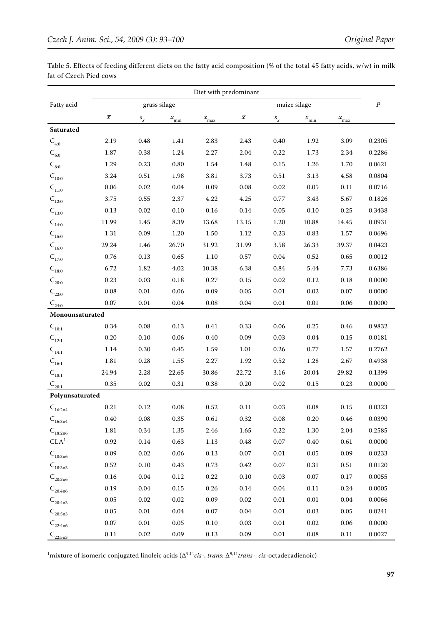|                        | Table 5. Effects of feeding different diets on the fatty acid composition (% of the total 45 fatty acids, w/w) in milk |  |  |  |  |
|------------------------|------------------------------------------------------------------------------------------------------------------------|--|--|--|--|
| fat of Czech Pied cows |                                                                                                                        |  |  |  |  |

|                                           | Diet with predominant |                 |                                         |                  |                          |                                |                                         |               |        |
|-------------------------------------------|-----------------------|-----------------|-----------------------------------------|------------------|--------------------------|--------------------------------|-----------------------------------------|---------------|--------|
| Fatty acid                                | grass silage          |                 |                                         | maize silage     |                          |                                |                                         | $\cal P$      |        |
|                                           | $\bar{x}$             | $\mathcal{S}_x$ | $\boldsymbol{\mathcal{X}}_{\text{min}}$ | $x_{\text{max}}$ | $\overline{\mathcal{X}}$ | $s_{\boldsymbol{\mathcal{X}}}$ | $\boldsymbol{\mathcal{X}}_{\text{min}}$ | $x_{\rm max}$ |        |
| Saturated                                 |                       |                 |                                         |                  |                          |                                |                                         |               |        |
| $\mathbf{C}_{4:0}$                        | 2.19                  | 0.48            | 1.41                                    | 2.83             | 2.43                     | 0.40                           | 1.92                                    | 3.09          | 0.2305 |
| $\mathsf{C}_{6:0}$                        | 1.87                  | 0.38            | 1.24                                    | 2.27             | 2.04                     | 0.22                           | 1.73                                    | 2.34          | 0.2286 |
| $\mathcal{C}_{8:0}$                       | 1.29                  | 0.23            | 0.80                                    | 1.54             | 1.48                     | 0.15                           | 1.26                                    | 1.70          | 0.0621 |
| $C_{10:0}$                                | 3.24                  | 0.51            | 1.98                                    | 3.81             | 3.73                     | 0.51                           | 3.13                                    | 4.58          | 0.0804 |
| $C_{11:0}$                                | 0.06                  | 0.02            | $0.04\,$                                | 0.09             | 0.08                     | $0.02\,$                       | 0.05                                    | 0.11          | 0.0716 |
| $C_{12:0}$                                | 3.75                  | 0.55            | 2.37                                    | 4.22             | 4.25                     | 0.77                           | 3.43                                    | 5.67          | 0.1826 |
| $C_{13:0}$                                | 0.13                  | 0.02            | 0.10                                    | 0.16             | 0.14                     | 0.05                           | 0.10                                    | 0.25          | 0.3438 |
| $C_{14:0}$                                | 11.99                 | 1.45            | 8.39                                    | 13.68            | 13.15                    | 1.20                           | 10.88                                   | 14.45         | 0.0931 |
| $C_{15:0}$                                | 1.31                  | 0.09            | 1.20                                    | 1.50             | 1.12                     | 0.23                           | 0.83                                    | 1.57          | 0.0696 |
| $C_{16:0}$                                | 29.24                 | 1.46            | 26.70                                   | 31.92            | 31.99                    | 3.58                           | 26.33                                   | 39.37         | 0.0423 |
| $C_{17:0}$                                | 0.76                  | 0.13            | 0.65                                    | 1.10             | 0.57                     | $0.04\,$                       | 0.52                                    | 0.65          | 0.0012 |
| $C_{18:0}$                                | 6.72                  | 1.82            | 4.02                                    | 10.38            | 6.38                     | 0.84                           | 5.44                                    | 7.73          | 0.6386 |
| $\mathbf{C}_{\text{20:0}}$                | 0.23                  | 0.03            | 0.18                                    | 0.27             | 0.15                     | 0.02                           | 0.12                                    | 0.18          | 0.0000 |
| $\mathbf{C}_{22:0}$                       | 0.08                  | 0.01            | 0.06                                    | 0.09             | 0.05                     | $0.01\,$                       | 0.02                                    | 0.07          | 0.0000 |
| $\text{C}_{2\underline{4:0}}$             | 0.07                  | 0.01            | 0.04                                    | 0.08             | 0.04                     | $0.01\,$                       | $0.01\,$                                | 0.06          | 0.0000 |
| Monounsaturated                           |                       |                 |                                         |                  |                          |                                |                                         |               |        |
| $C_{10:1}$                                | 0.34                  | 0.08            | 0.13                                    | 0.41             | 0.33                     | 0.06                           | 0.25                                    | 0.46          | 0.9832 |
| $C_{12:1}$                                | 0.20                  | 0.10            | 0.06                                    | 0.40             | 0.09                     | 0.03                           | 0.04                                    | 0.15          | 0.0181 |
| $\mathsf{C}_{\scriptscriptstyle 14:1}$    | 1.14                  | 0.30            | 0.45                                    | 1.59             | 1.01                     | 0.26                           | 0.77                                    | 1.57          | 0.2762 |
| $C_{16:1}$                                | 1.81                  | 0.28            | 1.55                                    | 2.27             | 1.92                     | 0.52                           | 1.28                                    | 2.67          | 0.4938 |
| $\mathcal{C}_{18:1}$                      | 24.94                 | 2.28            | 22.65                                   | 30.86            | 22.72                    | 3.16                           | 20.04                                   | 29.82         | 0.1399 |
| $C_{\underline{20:1}}$                    | 0.35                  | $0.02\,$        | 0.31                                    | 0.38             | 0.20                     | $0.02\,$                       | 0.15                                    | 0.23          | 0.0000 |
| Polyunsaturated                           |                       |                 |                                         |                  |                          |                                |                                         |               |        |
| $\mathcal{C}_{16:2n4}$                    | 0.21                  | 0.12            | 0.08                                    | 0.52             | 0.11                     | 0.03                           | 0.08                                    | 0.15          | 0.0323 |
| $\mathsf{C}_{16:3n4}$                     | $0.40\,$              | $0.08\,$        | $0.35\,$                                | $0.61\,$         | 0.32                     | $0.08\,$                       | $0.20\,$                                | 0.46          | 0.0390 |
| $\mathcal{C}_{\mathbf{18:2n6}}$           | 1.81                  | 0.34            | 1.35                                    | 2.46             | 1.65                     | 0.22                           | 1.30                                    | 2.04          | 0.2585 |
| CLA <sup>1</sup>                          | 0.92                  | 0.14            | 0.63                                    | 1.13             | 0.48                     | $0.07\,$                       | 0.40                                    | 0.61          | 0.0000 |
| $C_{18:3n6}$                              | 0.09                  | 0.02            | 0.06                                    | 0.13             | $0.07\,$                 | $0.01\,$                       | 0.05                                    | 0.09          | 0.0233 |
| $\mathcal{C}_{\scriptscriptstyle 18:3n3}$ | 0.52                  | 0.10            | 0.43                                    | 0.73             | $0.42\,$                 | 0.07                           | 0.31                                    | $0.51\,$      | 0.0120 |
| $\mathsf{C}_{\mathsf{20:3n6}}$            | 0.16                  | 0.04            | 0.12                                    | 0.22             | 0.10                     | 0.03                           | 0.07                                    | 0.17          | 0.0055 |
| $\mathbf{C}_{\text{20:4n6}}$              | 0.19                  | 0.04            | $0.15\,$                                | 0.26             | $0.14\,$                 | 0.04                           | 0.11                                    | $0.24\,$      | 0.0005 |
| $\mathsf{C}_{\mathsf{20:4n3}}$            | 0.05                  | 0.02            | 0.02                                    | 0.09             | 0.02                     | 0.01                           | 0.01                                    | 0.04          | 0.0066 |
| $C_{20:5n3}$                              | 0.05                  | 0.01            | $0.04\,$                                | 0.07             | 0.04                     | $0.01\,$                       | 0.03                                    | 0.05          | 0.0241 |
| $C_{22:4n6}$                              | $0.07\,$              | $0.01\,$        | $0.05\,$                                | $0.10\,$         | $0.03\,$                 | 0.01                           | 0.02                                    | $0.06\,$      | 0.0000 |
| $C_{22:5n3}$                              | 0.11                  | 0.02            | 0.09                                    | 0.13             | 0.09                     | $0.01\,$                       | $0.08\,$                                | 0.11          | 0.0027 |

1 mixture of isomeric conjugated linoleic acids (∆9,11*cis*-, *trans*; ∆9,11*trans*-, *cis*-octadecadienoic)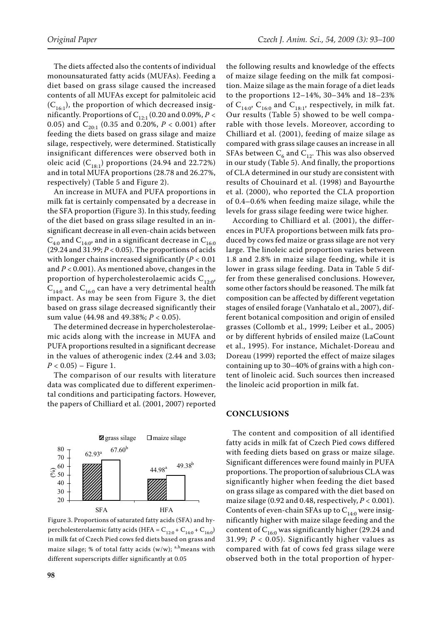The diets affected also the contents of individual monounsaturated fatty acids (MUFAs). Feeding a diet based on grass silage caused the increased contents of all MUFAs except for palmitoleic acid  $(C_{16:1})$ , the proportion of which decreased insignificantly. Proportions of  $C_{12:1}$  (0.20 and 0.09%, *P* < 0.05) and  $C_{20\cdot1}$  (0.35 and 0.20%,  $P < 0.001$ ) after feeding the diets based on grass silage and maize silage, respectively, were determined. Statistically insignificant differences were observed both in oleic acid  $(C_{18:1})$  proportions (24.94 and 22.72%) and in total MUFA proportions (28.78 and 26.27%, respectively) (Table 5 and Figure 2).

An increase in MUFA and PUFA proportions in milk fat is certainly compensated by a decrease in the SFA proportion (Figure 3). In this study, feeding of the diet based on grass silage resulted in an insignificant decrease in all even-chain acids between  $C_{4:0}$  and  $C_{14:0}$ , and in a significant decrease in  $C_{16:0}$ (29.24 and 31.99; *P* < 0.05). The proportions of acids with longer chains increased significantly (*P* < 0.01 and *P* < 0.001). As mentioned above, changes in the proportion of hypercholesterolaemic acids  $C_{12:0}$ ,  $C_{14:0}$  and  $C_{16:0}$  can have a very detrimental health impact. As may be seen from Figure 3, the diet based on grass silage decreased significantly their sum value (44.98 and 49.38%; *P* < 0.05).

The determined decrease in hypercholesterolaemic acids along with the increase in MUFA and PUFA proportions resulted in a significant decrease in the values of atherogenic index (2.44 and 3.03;  $P < 0.05$ ) – Figure 1.

The comparison of our results with literature data was complicated due to different experimental conditions and participating factors. However, the papers of Chilliard et al. (2001, 2007) reported



Figure 3. Proportions of saturated fatty acids (SFA) and hypercholesterolaemic fatty acids (HFA =  $C_{12:0}$  +  $C_{14:0}$  +  $C_{16:0}$ ) in milk fat of Czech Pied cows fed diets based on grass and maize silage; % of total fatty acids (w/w);  $a,b$  means with different superscripts differ significantly at 0.05

the following results and knowledge of the effects of maize silage feeding on the milk fat composition. Maize silage as the main forage of a diet leads to the proportions 12–14%, 30–34% and 18–23% of  $C_{14:0}$ ,  $C_{16:0}$  and  $C_{18:1}$ , respectively, in milk fat. Our results (Table 5) showed to be well comparable with those levels. Moreover, according to Chilliard et al. (2001), feeding of maize silage as compared with grass silage causes an increase in all SFAs between  $C_6$  and  $C_{12}$ . This was also observed in our study (Table 5). And finally, the proportions of CLA determined in our study are consistent with results of Chouinard et al. (1998) and Bayourthe et al. (2000), who reported the CLA proportion of 0.4–0.6% when feeding maize silage, while the levels for grass silage feeding were twice higher.

According to Chilliard et al. (2001), the differences in PUFA proportions between milk fats produced by cows fed maize or grass silage are not very large. The linoleic acid proportion varies between 1.8 and 2.8% in maize silage feeding, while it is lower in grass silage feeding. Data in Table 5 differ from these generalised conclusions. However, some other factors should be reasoned. The milk fat composition can be affected by different vegetation stages of ensiled forage (Vanhatalo et al., 2007), different botanical composition and origin of ensiled grasses (Collomb et al., 1999; Leiber et al., 2005) or by different hybrids of ensiled maize (LaCount et al., 1995). For instance, Michalet-Doreau and Doreau (1999) reported the effect of maize silages containing up to 30–40% of grains with a high content of linoleic acid. Such sources then increased the linoleic acid proportion in milk fat.

## **CONCLUSIONS**

The content and composition of all identified fatty acids in milk fat of Czech Pied cows differed with feeding diets based on grass or maize silage. Significant differences were found mainly in PUFA proportions. The proportion of salubrious CLA was significantly higher when feeding the diet based on grass silage as compared with the diet based on maize silage (0.92 and 0.48, respectively, *P* < 0.001). Contents of even-chain SFAs up to  $C_{14:0}$  were insignificantly higher with maize silage feeding and the content of  $C_{16:0}$  was significantly higher (29.24 and 31.99;  $P < 0.05$ ). Significantly higher values as compared with fat of cows fed grass silage were observed both in the total proportion of hyper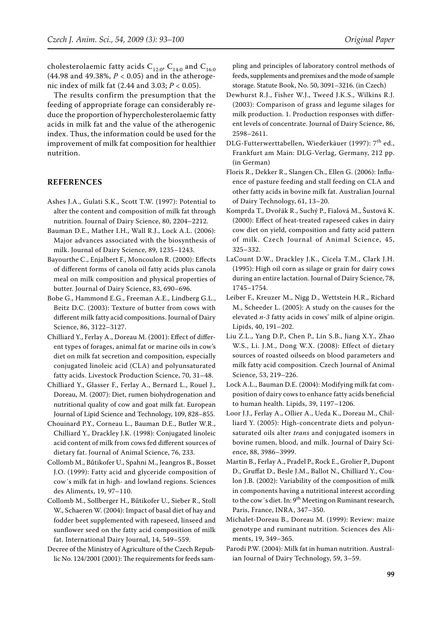cholesterolaemic fatty acids  $C_{12:0}$ ,  $C_{14:0}$  and  $C_{16:0}$ (44.98 and 49.38%, *P* < 0.05) and in the atherogenic index of milk fat (2.44 and 3.03; *P* < 0.05).

The results confirm the presumption that the feeding of appropriate forage can considerably reduce the proportion of hypercholesterolaemic fatty acids in milk fat and the value of the atherogenic index. Thus, the information could be used for the improvement of milk fat composition for healthier nutrition.

## **REFERENCES**

- Ashes J.A., Gulati S.K., Scott T.W. (1997): Potential to alter the content and composition of milk fat through nutrition. Journal of Dairy Science, 80, 2204–2212.
- Bauman D.E., Mather I.H., Wall R.J., Lock A.L. (2006): Major advances associated with the biosynthesis of milk. Journal of Dairy Science, 89, 1235–1243.
- Bayourthe C., Enjalbert F., Moncoulon R. (2000): Effects of different forms of canola oil fatty acids plus canola meal on milk composition and physical properties of butter. Journal of Dairy Science, 83, 690–696.
- Bobe G., Hammond E.G., Freeman A.E., Lindberg G.L., Beitz D.C. (2003): Texture of butter from cows with different milk fatty acid compositions. Journal of Dairy Science, 86, 3122–3127.
- Chilliard Y., Ferlay A., Doreau M. (2001): Effect of different types of forages, animal fat or marine oils in cow's diet on milk fat secretion and composition, especially conjugated linoleic acid (CLA) and polyunsaturated fatty acids. Livestock Production Science, 70, 31–48.
- Chilliard Y., Glasser F., Ferlay A., Bernard L., Rouel J., Doreau, M. (2007): Diet, rumen biohydrogenation and nutritional quality of cow and goat milk fat. European Journal of Lipid Science and Technology, 109, 828–855.
- Chouinard P.Y., Corneau L., Bauman D.E., Butler W.R., Chilliard Y., Drackley J.K. (1998): Conjugated linoleic acid content of milk from cows fed different sources of dietary fat. Journal of Animal Science, 76, 233.
- Collomb M., Bűtikofer U., Spahni M., Jeangros B., Bosset J.O. (1999): Fatty acid and glyceride composition of cow´s milk fat in high- and lowland regions. Sciences des Aliments, 19, 97–110.
- Collomb M., Sollberger H., Bűtikofer U., Sieber R., Stoll W., Schaeren W. (2004): Impact of basal diet of hay and fodder beet supplemented with rapeseed, linseed and sunflower seed on the fatty acid composition of milk fat. International Dairy Journal, 14, 549–559.
- Decree of the Ministry of Agriculture of the Czech Republic No. 124/2001 (2001): The requirements for feeds sam-

pling and principles of laboratory control methods of feeds, supplements and premixes and the mode of sample storage. Statute Book, No. 50, 3091–3216. (in Czech)

- Dewhurst R.J., Fisher W.J., Tweed J.K.S., Wilkins R.J. (2003): Comparison of grass and legume silages for milk production. 1. Production responses with different levels of concentrate. Journal of Dairy Science, 86, 2598–2611.
- DLG-Futterwerttabellen, Wiederkäuer (1997): 7<sup>th</sup> ed., Frankfurt am Main: DLG-Verlag, Germany, 212 pp. (in German)
- Floris R., Dekker R., Slangen Ch., Ellen G. (2006): Influence of pasture feeding and stall feeding on CLA and other fatty acids in bovine milk fat. Australian Journal of Dairy Technology, 61, 13–20.
- Komprda T., Dvořák R., Suchý P., Fialová M., Šustová K. (2000): Effect of heat-treated rapeseed cakes in dairy cow diet on yield, composition and fatty acid pattern of milk. Czech Journal of Animal Science, 45, 325–332.
- LaCount D.W., Drackley J.K., Cicela T.M., Clark J.H. (1995): High oil corn as silage or grain for dairy cows during an entire lactation. Journal of Dairy Science, 78, 1745–1754.
- Leiber F., Kreuzer M., Nigg D., Wettstein H.R., Richard M., Scheeder L. (2005): A study on the causes for the elevated *n-3* fatty acids in cows' milk of alpine origin. Lipids, 40, 191–202.
- Liu Z.L., Yang D.P., Chen P., Lin S.B., Jiang X.Y., Zhao W.S., Li. J.M., Dong W.X. (2008): Effect of dietary sources of roasted oilseeds on blood parameters and milk fatty acid composition. Czech Journal of Animal Science, 53, 219–226.
- Lock A.L., Bauman D.E. (2004): Modifying milk fat composition of dairy cows to enhance fatty acids beneficial to human health. Lipids, 39, 1197–1206.
- Loor J.J., Ferlay A., Ollier A., Ueda K., Doreau M., Chilliard Y. (2005): High-concentrate diets and polyunsaturated oils alter *trans* and conjugated isomers in bovine rumen, blood, and milk. Journal of Dairy Science, 88, 3986–3999.
- Martin B., Ferlay A., Pradel P., Rock E., Grolier P., Dupont D., Gruffat D., Besle J.M., Ballot N., Chilliard Y., Coulon J.B. (2002): Variability of the composition of milk in components having a nutritional interest according to the cow's diet. In: 9<sup>th</sup> Meeting on Ruminant research, Paris, France, INRA, 347–350.
- Michalet-Doreau B., Doreau M. (1999): Review: maize genotype and ruminant nutrition. Sciences des Aliments, 19, 349–365.
- Parodi P.W. (2004): Milk fat in human nutrition. Australian Journal of Dairy Technology, 59, 3–59.